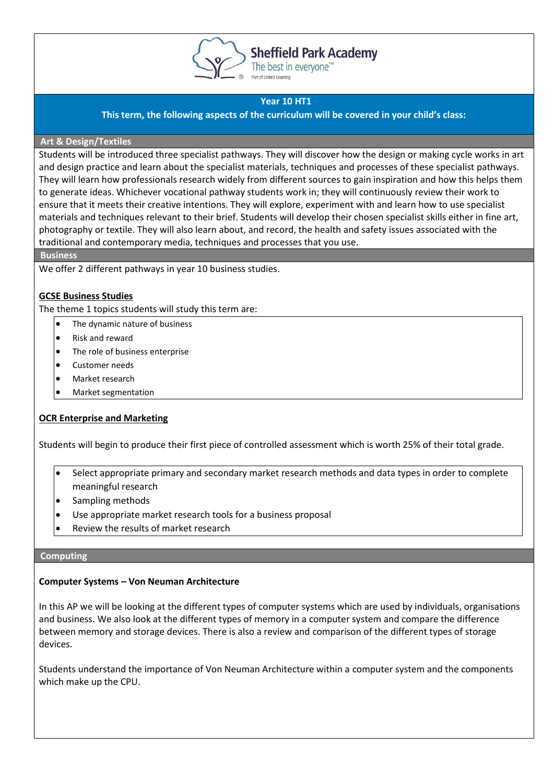

# **Sheffield Park Academy**

The best in everyone<sup>™</sup> Part of United Learning

## **Year 10 HT1**

**This term, the following aspects of the curriculum will be covered in your child's class:**

## **Art & Design/Textiles**

Students will be introduced three specialist pathways. They will discover how the design or making cycle works in art and design practice and learn about the specialist materials, techniques and processes of these specialist pathways. They will learn how professionals research widely from different sources to gain inspiration and how this helps them to generate ideas. Whichever vocational pathway students work in; they will continuously review their work to ensure that it meets their creative intentions. They will explore, experiment with and learn how to use specialist materials and techniques relevant to their brief. Students will develop their chosen specialist skills either in fine art, photography or textile. They will also learn about, and record, the health and safety issues associated with the traditional and contemporary media, techniques and processes that you use.

**Business**

We offer 2 different pathways in year 10 business studies.

## **GCSE Business Studies**

The theme 1 topics students will study this term are:

- The dynamic nature of business
- Risk and reward
- The role of business enterprise
- Customer needs
- Market research
- Market segmentation

## **OCR Enterprise and Marketing**

Students will begin to produce their first piece of controlled assessment which is worth 25% of their total grade.

- Select appropriate primary and secondary market research methods and data types in order to complete meaningful research
- Sampling methods
- Use appropriate market research tools for a business proposal
- Review the results of market research

#### **Computing**

## **Computer Systems – Von Neuman Architecture**

In this AP we will be looking at the different types of computer systems which are used by individuals, organisations and business. We also look at the different types of memory in a computer system and compare the difference between memory and storage devices. There is also a review and comparison of the different types of storage devices.

Students understand the importance of Von Neuman Architecture within a computer system and the components which make up the CPU.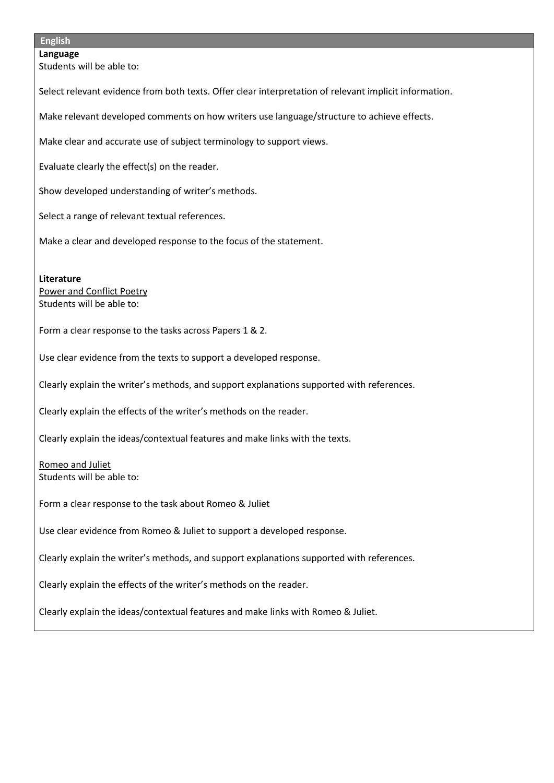#### **English**

**Language** Students will be able to:

Select relevant evidence from both texts. Offer clear interpretation of relevant implicit information.

Make relevant developed comments on how writers use language/structure to achieve effects.

Make clear and accurate use of subject terminology to support views.

Evaluate clearly the effect(s) on the reader.

Show developed understanding of writer's methods.

Select a range of relevant textual references.

Make a clear and developed response to the focus of the statement.

**Literature** Power and Conflict Poetry Students will be able to:

Form a clear response to the tasks across Papers 1 & 2.

Use clear evidence from the texts to support a developed response.

Clearly explain the writer's methods, and support explanations supported with references.

Clearly explain the effects of the writer's methods on the reader.

Clearly explain the ideas/contextual features and make links with the texts.

Romeo and Juliet Students will be able to:

Form a clear response to the task about Romeo & Juliet

Use clear evidence from Romeo & Juliet to support a developed response.

Clearly explain the writer's methods, and support explanations supported with references.

Clearly explain the effects of the writer's methods on the reader.

Clearly explain the ideas/contextual features and make links with Romeo & Juliet.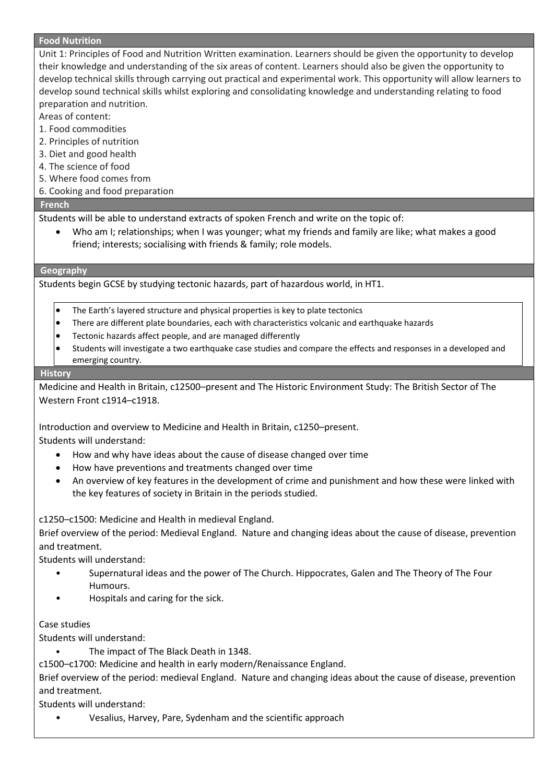#### **Food Nutrition**

Unit 1: Principles of Food and Nutrition Written examination. Learners should be given the opportunity to develop their knowledge and understanding of the six areas of content. Learners should also be given the opportunity to develop technical skills through carrying out practical and experimental work. This opportunity will allow learners to develop sound technical skills whilst exploring and consolidating knowledge and understanding relating to food preparation and nutrition.

Areas of content:

- 1. Food commodities
- 2. Principles of nutrition
- 3. Diet and good health
- 4. The science of food
- 5. Where food comes from
- 6. Cooking and food preparation

#### **French**

Students will be able to understand extracts of spoken French and write on the topic of:

• Who am I; relationships; when I was younger; what my friends and family are like; what makes a good friend; interests; socialising with friends & family; role models.

#### **Geography**

Students begin GCSE by studying tectonic hazards, part of hazardous world, in HT1.

- The Earth's layered structure and physical properties is key to plate tectonics
- There are different plate boundaries, each with characteristics volcanic and earthquake hazards
- Tectonic hazards affect people, and are managed differently
- Students will investigate a two earthquake case studies and compare the effects and responses in a developed and emerging country.

#### **History**

Medicine and Health in Britain, c12500–present and The Historic Environment Study: The British Sector of The Western Front c1914–c1918.

Introduction and overview to Medicine and Health in Britain, c1250–present.

Students will understand:

- How and why have ideas about the cause of disease changed over time
- How have preventions and treatments changed over time
- An overview of key features in the development of crime and punishment and how these were linked with the key features of society in Britain in the periods studied.

c1250–c1500: Medicine and Health in medieval England.

Brief overview of the period: Medieval England. Nature and changing ideas about the cause of disease, prevention and treatment.

Students will understand:

- Supernatural ideas and the power of The Church. Hippocrates, Galen and The Theory of The Four Humours.
- Hospitals and caring for the sick.

#### Case studies

Students will understand:

The impact of The Black Death in 1348.

c1500–c1700: Medicine and health in early modern/Renaissance England.

Brief overview of the period: medieval England. Nature and changing ideas about the cause of disease, prevention and treatment.

Students will understand:

• Vesalius, Harvey, Pare, Sydenham and the scientific approach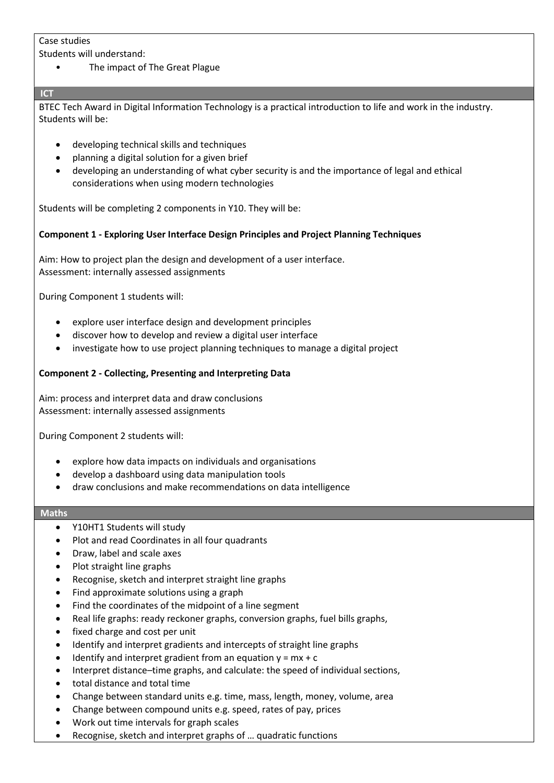## Case studies

Students will understand:

• The impact of The Great Plague

## **ICT**

BTEC Tech Award in Digital Information Technology is a practical introduction to life and work in the industry. Students will be:

- developing technical skills and techniques
- planning a digital solution for a given brief
- developing an understanding of what cyber security is and the importance of legal and ethical considerations when using modern technologies

Students will be completing 2 components in Y10. They will be:

## **Component 1 - Exploring User Interface Design Principles and Project Planning Techniques**

Aim: How to project plan the design and development of a user interface. Assessment: internally assessed assignments

During Component 1 students will:

- explore user interface design and development principles
- discover how to develop and review a digital user interface
- investigate how to use project planning techniques to manage a digital project

## **Component 2 - Collecting, Presenting and Interpreting Data**

Aim: process and interpret data and draw conclusions Assessment: internally assessed assignments

During Component 2 students will:

- explore how data impacts on individuals and organisations
- develop a dashboard using data manipulation tools
- draw conclusions and make recommendations on data intelligence

#### **Maths**

- Y10HT1 Students will study
- Plot and read Coordinates in all four quadrants
- Draw, label and scale axes
- Plot straight line graphs
- Recognise, sketch and interpret straight line graphs
- Find approximate solutions using a graph
- Find the coordinates of the midpoint of a line segment
- Real life graphs: ready reckoner graphs, conversion graphs, fuel bills graphs,
- fixed charge and cost per unit
- Identify and interpret gradients and intercepts of straight line graphs
- Identify and interpret gradient from an equation  $y = mx + c$
- Interpret distance–time graphs, and calculate: the speed of individual sections,
- total distance and total time
- Change between standard units e.g. time, mass, length, money, volume, area
- Change between compound units e.g. speed, rates of pay, prices
- Work out time intervals for graph scales
- Recognise, sketch and interpret graphs of … quadratic functions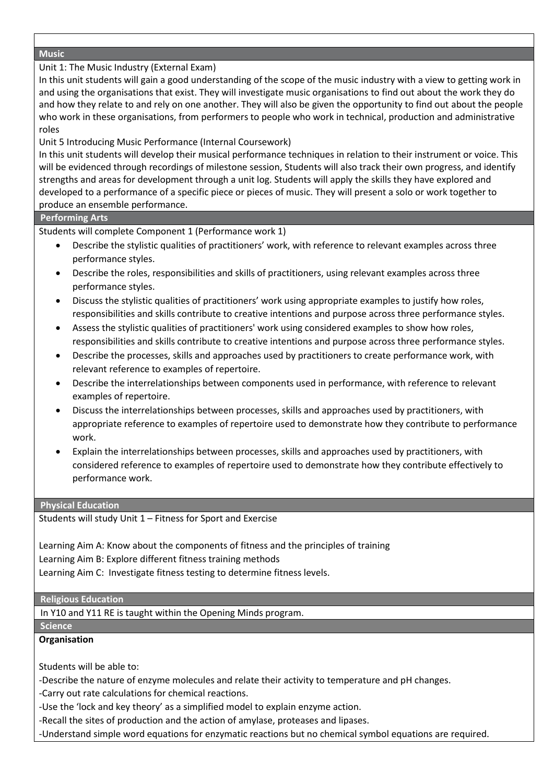#### **Music**

Unit 1: The Music Industry (External Exam)

In this unit students will gain a good understanding of the scope of the music industry with a view to getting work in and using the organisations that exist. They will investigate music organisations to find out about the work they do and how they relate to and rely on one another. They will also be given the opportunity to find out about the people who work in these organisations, from performers to people who work in technical, production and administrative roles

Unit 5 Introducing Music Performance (Internal Coursework)

In this unit students will develop their musical performance techniques in relation to their instrument or voice. This will be evidenced through recordings of milestone session, Students will also track their own progress, and identify strengths and areas for development through a unit log. Students will apply the skills they have explored and developed to a performance of a specific piece or pieces of music. They will present a solo or work together to produce an ensemble performance.

#### **Performing Arts**

Students will complete Component 1 (Performance work 1)

- Describe the stylistic qualities of practitioners' work, with reference to relevant examples across three performance styles.
- Describe the roles, responsibilities and skills of practitioners, using relevant examples across three performance styles.
- Discuss the stylistic qualities of practitioners' work using appropriate examples to justify how roles, responsibilities and skills contribute to creative intentions and purpose across three performance styles.
- Assess the stylistic qualities of practitioners' work using considered examples to show how roles, responsibilities and skills contribute to creative intentions and purpose across three performance styles.
- Describe the processes, skills and approaches used by practitioners to create performance work, with relevant reference to examples of repertoire.
- Describe the interrelationships between components used in performance, with reference to relevant examples of repertoire.
- Discuss the interrelationships between processes, skills and approaches used by practitioners, with appropriate reference to examples of repertoire used to demonstrate how they contribute to performance work.
- Explain the interrelationships between processes, skills and approaches used by practitioners, with considered reference to examples of repertoire used to demonstrate how they contribute effectively to performance work.

#### **Physical Education**

Students will study Unit 1 – Fitness for Sport and Exercise

Learning Aim A: Know about the components of fitness and the principles of training Learning Aim B: Explore different fitness training methods Learning Aim C: Investigate fitness testing to determine fitness levels.

#### **Religious Education**

In Y10 and Y11 RE is taught within the Opening Minds program.

#### **Science**

## **Organisation**

Students will be able to:

-Describe the nature of enzyme molecules and relate their activity to temperature and pH changes.

-Carry out rate calculations for chemical reactions.

-Use the 'lock and key theory' as a simplified model to explain enzyme action.

-Recall the sites of production and the action of amylase, proteases and lipases.

-Understand simple word equations for enzymatic reactions but no chemical symbol equations are required.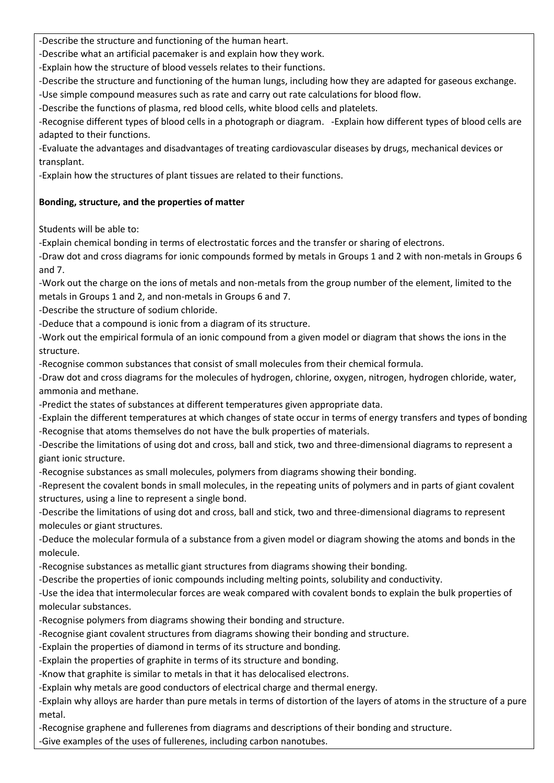-Describe the structure and functioning of the human heart.

-Describe what an artificial pacemaker is and explain how they work.

-Explain how the structure of blood vessels relates to their functions.

-Describe the structure and functioning of the human lungs, including how they are adapted for gaseous exchange.

-Use simple compound measures such as rate and carry out rate calculations for blood flow.

-Describe the functions of plasma, red blood cells, white blood cells and platelets.

-Recognise different types of blood cells in a photograph or diagram. -Explain how different types of blood cells are adapted to their functions.

-Evaluate the advantages and disadvantages of treating cardiovascular diseases by drugs, mechanical devices or transplant.

-Explain how the structures of plant tissues are related to their functions.

## **Bonding, structure, and the properties of matter**

Students will be able to:

-Explain chemical bonding in terms of electrostatic forces and the transfer or sharing of electrons.

-Draw dot and cross diagrams for ionic compounds formed by metals in Groups 1 and 2 with non-metals in Groups 6 and 7.

-Work out the charge on the ions of metals and non-metals from the group number of the element, limited to the metals in Groups 1 and 2, and non-metals in Groups 6 and 7.

-Describe the structure of sodium chloride.

-Deduce that a compound is ionic from a diagram of its structure.

-Work out the empirical formula of an ionic compound from a given model or diagram that shows the ions in the structure.

-Recognise common substances that consist of small molecules from their chemical formula.

-Draw dot and cross diagrams for the molecules of hydrogen, chlorine, oxygen, nitrogen, hydrogen chloride, water, ammonia and methane.

-Predict the states of substances at different temperatures given appropriate data.

-Explain the different temperatures at which changes of state occur in terms of energy transfers and types of bonding -Recognise that atoms themselves do not have the bulk properties of materials.

-Describe the limitations of using dot and cross, ball and stick, two and three-dimensional diagrams to represent a giant ionic structure.

-Recognise substances as small molecules, polymers from diagrams showing their bonding.

-Represent the covalent bonds in small molecules, in the repeating units of polymers and in parts of giant covalent structures, using a line to represent a single bond.

-Describe the limitations of using dot and cross, ball and stick, two and three-dimensional diagrams to represent molecules or giant structures.

-Deduce the molecular formula of a substance from a given model or diagram showing the atoms and bonds in the molecule.

-Recognise substances as metallic giant structures from diagrams showing their bonding.

-Describe the properties of ionic compounds including melting points, solubility and conductivity.

-Use the idea that intermolecular forces are weak compared with covalent bonds to explain the bulk properties of molecular substances.

-Recognise polymers from diagrams showing their bonding and structure.

-Recognise giant covalent structures from diagrams showing their bonding and structure.

-Explain the properties of diamond in terms of its structure and bonding.

-Explain the properties of graphite in terms of its structure and bonding.

-Know that graphite is similar to metals in that it has delocalised electrons.

-Explain why metals are good conductors of electrical charge and thermal energy.

-Explain why alloys are harder than pure metals in terms of distortion of the layers of atoms in the structure of a pure metal.

-Recognise graphene and fullerenes from diagrams and descriptions of their bonding and structure.

-Give examples of the uses of fullerenes, including carbon nanotubes.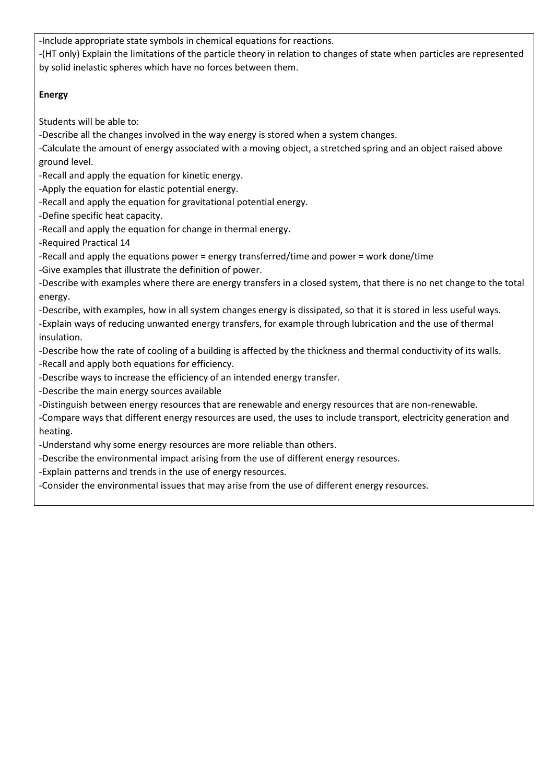-Include appropriate state symbols in chemical equations for reactions.

-(HT only) Explain the limitations of the particle theory in relation to changes of state when particles are represented by solid inelastic spheres which have no forces between them.

## **Energy**

Students will be able to:

-Describe all the changes involved in the way energy is stored when a system changes.

-Calculate the amount of energy associated with a moving object, a stretched spring and an object raised above ground level.

-Recall and apply the equation for kinetic energy.

-Apply the equation for elastic potential energy.

-Recall and apply the equation for gravitational potential energy.

-Define specific heat capacity.

-Recall and apply the equation for change in thermal energy.

-Required Practical 14

-Recall and apply the equations power = energy transferred/time and power = work done/time

-Give examples that illustrate the definition of power.

-Describe with examples where there are energy transfers in a closed system, that there is no net change to the total energy.

-Describe, with examples, how in all system changes energy is dissipated, so that it is stored in less useful ways. -Explain ways of reducing unwanted energy transfers, for example through lubrication and the use of thermal insulation.

-Describe how the rate of cooling of a building is affected by the thickness and thermal conductivity of its walls.

-Recall and apply both equations for efficiency.

-Describe ways to increase the efficiency of an intended energy transfer.

-Describe the main energy sources available

-Distinguish between energy resources that are renewable and energy resources that are non-renewable.

-Compare ways that different energy resources are used, the uses to include transport, electricity generation and heating.

-Understand why some energy resources are more reliable than others.

-Describe the environmental impact arising from the use of different energy resources.

-Explain patterns and trends in the use of energy resources.

-Consider the environmental issues that may arise from the use of different energy resources.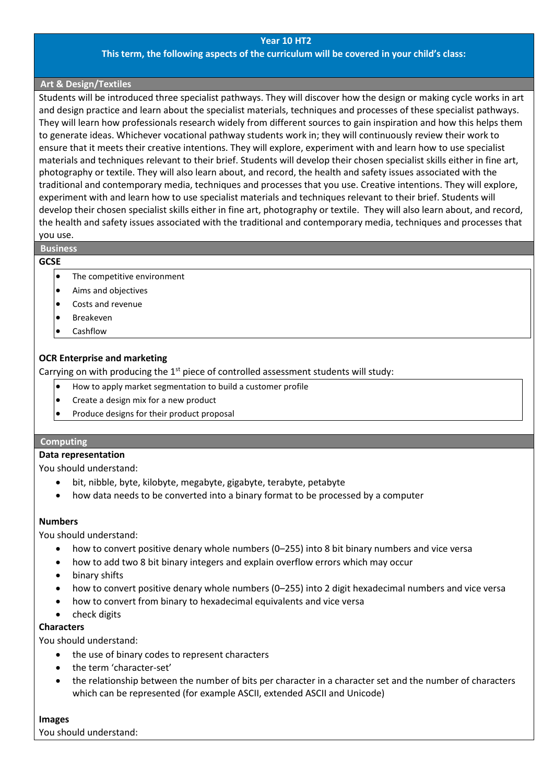#### **Year 10 HT2**

#### **This term, the following aspects of the curriculum will be covered in your child's class:**

#### **Art & Design/Textiles**

Students will be introduced three specialist pathways. They will discover how the design or making cycle works in art and design practice and learn about the specialist materials, techniques and processes of these specialist pathways. They will learn how professionals research widely from different sources to gain inspiration and how this helps them to generate ideas. Whichever vocational pathway students work in; they will continuously review their work to ensure that it meets their creative intentions. They will explore, experiment with and learn how to use specialist materials and techniques relevant to their brief. Students will develop their chosen specialist skills either in fine art, photography or textile. They will also learn about, and record, the health and safety issues associated with the traditional and contemporary media, techniques and processes that you use. Creative intentions. They will explore, experiment with and learn how to use specialist materials and techniques relevant to their brief. Students will develop their chosen specialist skills either in fine art, photography or textile. They will also learn about, and record, the health and safety issues associated with the traditional and contemporary media, techniques and processes that you use.

## **Business**

#### **GCSE**

- The competitive environment
- Aims and objectives
- Costs and revenue
- Breakeven
- Cashflow

## **OCR Enterprise and marketing**

Carrying on with producing the  $1<sup>st</sup>$  piece of controlled assessment students will study:

- How to apply market segmentation to build a customer profile
- Create a design mix for a new product
- Produce designs for their product proposal

#### **Computing**

### **Data representation**

You should understand:

- bit, nibble, byte, kilobyte, megabyte, gigabyte, terabyte, petabyte
- how data needs to be converted into a binary format to be processed by a computer

#### **Numbers**

You should understand:

- how to convert positive denary whole numbers (0–255) into 8 bit binary numbers and vice versa
- how to add two 8 bit binary integers and explain overflow errors which may occur
- binary shifts
- how to convert positive denary whole numbers (0–255) into 2 digit hexadecimal numbers and vice versa
- how to convert from binary to hexadecimal equivalents and vice versa
- check digits

#### **Characters**

You should understand:

- the use of binary codes to represent characters
- the term 'character-set'
- the relationship between the number of bits per character in a character set and the number of characters which can be represented (for example ASCII, extended ASCII and Unicode)

#### **Images**

You should understand: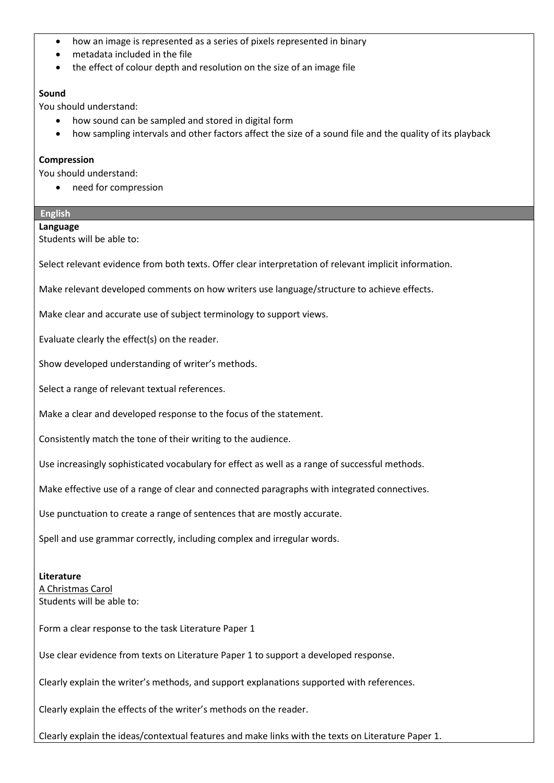- how an image is represented as a series of pixels represented in binary
- metadata included in the file
- the effect of colour depth and resolution on the size of an image file

#### **Sound**

You should understand:

- how sound can be sampled and stored in digital form
- how sampling intervals and other factors affect the size of a sound file and the quality of its playback

#### **Compression**

You should understand:

• need for compression

## **English**

#### **Language**

Students will be able to:

Select relevant evidence from both texts. Offer clear interpretation of relevant implicit information.

Make relevant developed comments on how writers use language/structure to achieve effects.

Make clear and accurate use of subject terminology to support views.

Evaluate clearly the effect(s) on the reader.

Show developed understanding of writer's methods.

Select a range of relevant textual references.

Make a clear and developed response to the focus of the statement.

Consistently match the tone of their writing to the audience.

Use increasingly sophisticated vocabulary for effect as well as a range of successful methods.

Make effective use of a range of clear and connected paragraphs with integrated connectives.

Use punctuation to create a range of sentences that are mostly accurate.

Spell and use grammar correctly, including complex and irregular words.

#### **Literature**

A Christmas Carol Students will be able to:

Form a clear response to the task Literature Paper 1

Use clear evidence from texts on Literature Paper 1 to support a developed response.

Clearly explain the writer's methods, and support explanations supported with references.

Clearly explain the effects of the writer's methods on the reader.

Clearly explain the ideas/contextual features and make links with the texts on Literature Paper 1.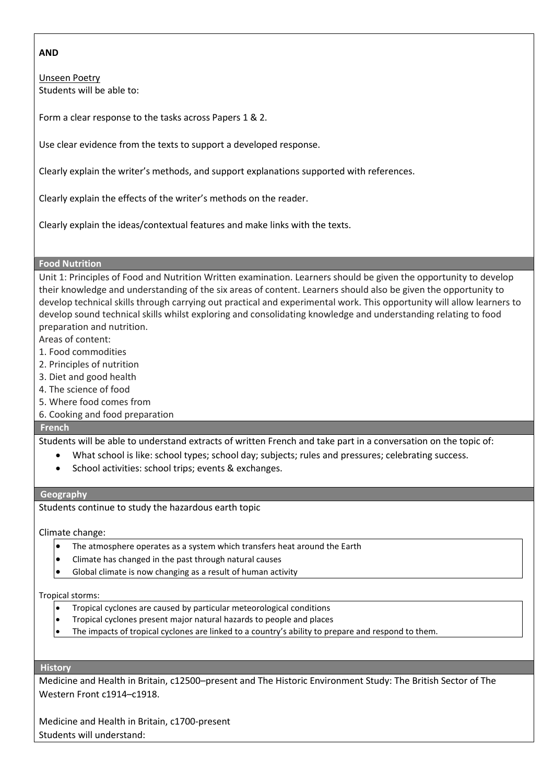#### **AND**

Unseen Poetry Students will be able to:

Form a clear response to the tasks across Papers 1 & 2.

Use clear evidence from the texts to support a developed response.

Clearly explain the writer's methods, and support explanations supported with references.

Clearly explain the effects of the writer's methods on the reader.

Clearly explain the ideas/contextual features and make links with the texts.

#### **Food Nutrition**

Unit 1: Principles of Food and Nutrition Written examination. Learners should be given the opportunity to develop their knowledge and understanding of the six areas of content. Learners should also be given the opportunity to develop technical skills through carrying out practical and experimental work. This opportunity will allow learners to develop sound technical skills whilst exploring and consolidating knowledge and understanding relating to food preparation and nutrition.

- Areas of content:
- 1. Food commodities
- 2. Principles of nutrition
- 3. Diet and good health
- 4. The science of food
- 5. Where food comes from
- 6. Cooking and food preparation

#### **French**

Students will be able to understand extracts of written French and take part in a conversation on the topic of:

- What school is like: school types; school day; subjects; rules and pressures; celebrating success.
- School activities: school trips; events & exchanges.

#### **Geography**

Students continue to study the hazardous earth topic

Climate change:

- The atmosphere operates as a system which transfers heat around the Earth
- Climate has changed in the past through natural causes
- Global climate is now changing as a result of human activity

#### Tropical storms:

- Tropical cyclones are caused by particular meteorological conditions
- Tropical cyclones present major natural hazards to people and places
- The impacts of tropical cyclones are linked to a country's ability to prepare and respond to them.

#### **History**

Medicine and Health in Britain, c12500–present and The Historic Environment Study: The British Sector of The Western Front c1914–c1918.

Medicine and Health in Britain, c1700-present Students will understand: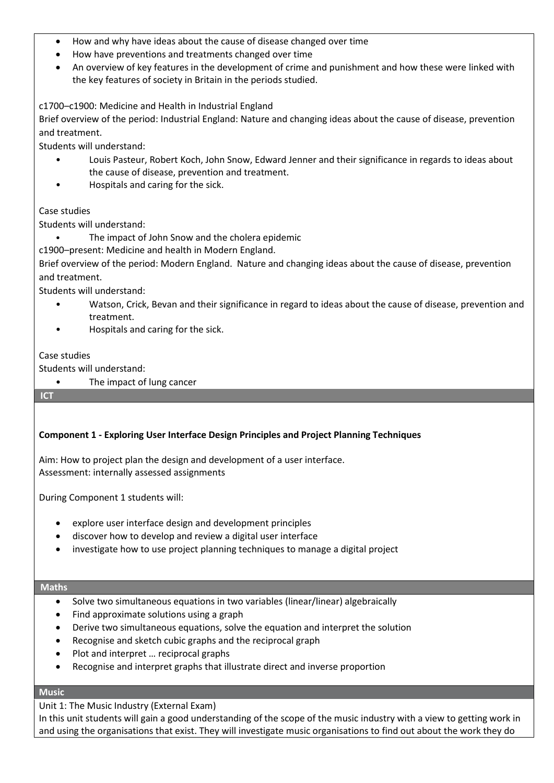- How and why have ideas about the cause of disease changed over time
- How have preventions and treatments changed over time
- An overview of key features in the development of crime and punishment and how these were linked with the key features of society in Britain in the periods studied.

c1700–c1900: Medicine and Health in Industrial England

Brief overview of the period: Industrial England: Nature and changing ideas about the cause of disease, prevention and treatment.

Students will understand:

- Louis Pasteur, Robert Koch, John Snow, Edward Jenner and their significance in regards to ideas about the cause of disease, prevention and treatment.
- Hospitals and caring for the sick.

## Case studies

Students will understand:

The impact of John Snow and the cholera epidemic

c1900–present: Medicine and health in Modern England.

Brief overview of the period: Modern England. Nature and changing ideas about the cause of disease, prevention and treatment.

Students will understand:

- Watson, Crick, Bevan and their significance in regard to ideas about the cause of disease, prevention and treatment.
- Hospitals and caring for the sick.

## Case studies

Students will understand:

The impact of lung cancer

**ICT** 

## **Component 1 - Exploring User Interface Design Principles and Project Planning Techniques**

Aim: How to project plan the design and development of a user interface. Assessment: internally assessed assignments

During Component 1 students will:

- explore user interface design and development principles
- discover how to develop and review a digital user interface
- investigate how to use project planning techniques to manage a digital project

#### **Maths**

- Solve two simultaneous equations in two variables (linear/linear) algebraically
- Find approximate solutions using a graph
- Derive two simultaneous equations, solve the equation and interpret the solution
- Recognise and sketch cubic graphs and the reciprocal graph
- Plot and interpret … reciprocal graphs
- Recognise and interpret graphs that illustrate direct and inverse proportion

## **Music**

Unit 1: The Music Industry (External Exam)

In this unit students will gain a good understanding of the scope of the music industry with a view to getting work in and using the organisations that exist. They will investigate music organisations to find out about the work they do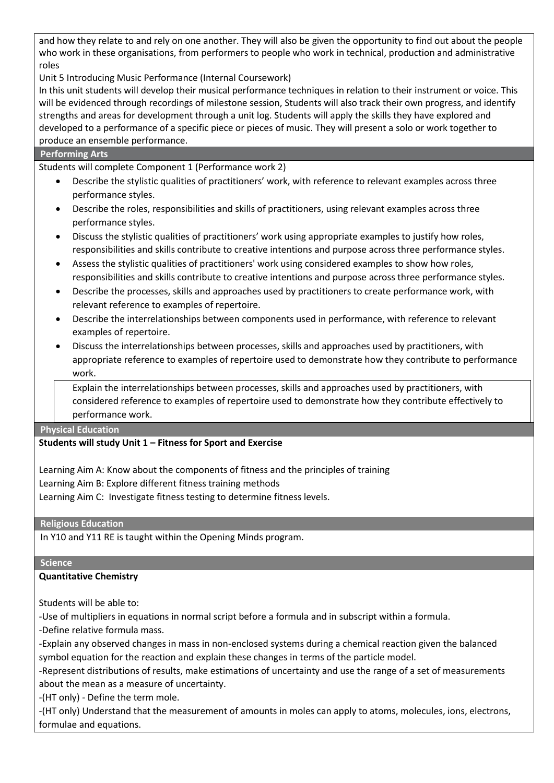and how they relate to and rely on one another. They will also be given the opportunity to find out about the people who work in these organisations, from performers to people who work in technical, production and administrative roles

Unit 5 Introducing Music Performance (Internal Coursework)

In this unit students will develop their musical performance techniques in relation to their instrument or voice. This will be evidenced through recordings of milestone session, Students will also track their own progress, and identify strengths and areas for development through a unit log. Students will apply the skills they have explored and developed to a performance of a specific piece or pieces of music. They will present a solo or work together to produce an ensemble performance.

| <b>Performing Arts</b> |  |
|------------------------|--|
|                        |  |

Students will complete Component 1 (Performance work 2)

- Describe the stylistic qualities of practitioners' work, with reference to relevant examples across three performance styles.
- Describe the roles, responsibilities and skills of practitioners, using relevant examples across three performance styles.
- Discuss the stylistic qualities of practitioners' work using appropriate examples to justify how roles, responsibilities and skills contribute to creative intentions and purpose across three performance styles.
- Assess the stylistic qualities of practitioners' work using considered examples to show how roles, responsibilities and skills contribute to creative intentions and purpose across three performance styles.
- Describe the processes, skills and approaches used by practitioners to create performance work, with relevant reference to examples of repertoire.
- Describe the interrelationships between components used in performance, with reference to relevant examples of repertoire.
- Discuss the interrelationships between processes, skills and approaches used by practitioners, with appropriate reference to examples of repertoire used to demonstrate how they contribute to performance work.

• Explain the interrelationships between processes, skills and approaches used by practitioners, with considered reference to examples of repertoire used to demonstrate how they contribute effectively to performance work.

**Physical Education**

## **Students will study Unit 1 – Fitness for Sport and Exercise**

Learning Aim A: Know about the components of fitness and the principles of training Learning Aim B: Explore different fitness training methods Learning Aim C: Investigate fitness testing to determine fitness levels.

**Religious Education**

In Y10 and Y11 RE is taught within the Opening Minds program.

## **Science**

## **Quantitative Chemistry**

Students will be able to:

-Use of multipliers in equations in normal script before a formula and in subscript within a formula.

-Define relative formula mass.

-Explain any observed changes in mass in non-enclosed systems during a chemical reaction given the balanced symbol equation for the reaction and explain these changes in terms of the particle model.

-Represent distributions of results, make estimations of uncertainty and use the range of a set of measurements about the mean as a measure of uncertainty.

-(HT only) - Define the term mole.

-(HT only) Understand that the measurement of amounts in moles can apply to atoms, molecules, ions, electrons, formulae and equations.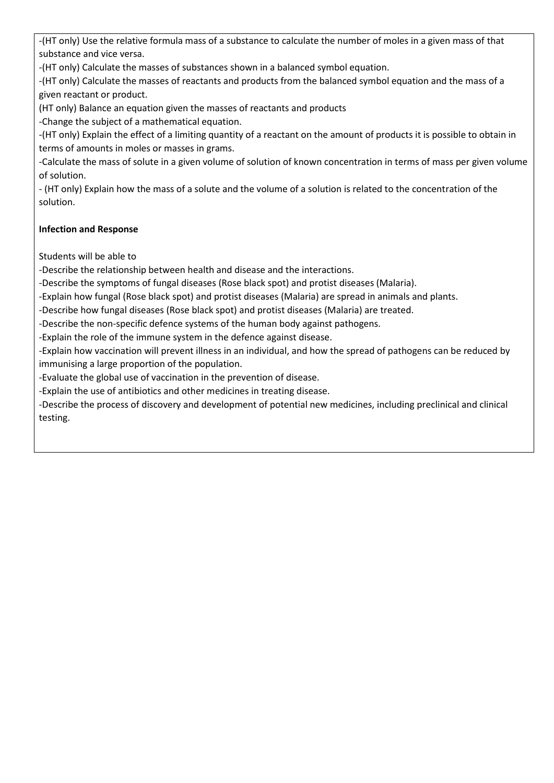-(HT only) Use the relative formula mass of a substance to calculate the number of moles in a given mass of that substance and vice versa.

-(HT only) Calculate the masses of substances shown in a balanced symbol equation.

-(HT only) Calculate the masses of reactants and products from the balanced symbol equation and the mass of a given reactant or product.

(HT only) Balance an equation given the masses of reactants and products

-Change the subject of a mathematical equation.

-(HT only) Explain the effect of a limiting quantity of a reactant on the amount of products it is possible to obtain in terms of amounts in moles or masses in grams.

-Calculate the mass of solute in a given volume of solution of known concentration in terms of mass per given volume of solution.

- (HT only) Explain how the mass of a solute and the volume of a solution is related to the concentration of the solution.

## **Infection and Response**

Students will be able to

-Describe the relationship between health and disease and the interactions.

-Describe the symptoms of fungal diseases (Rose black spot) and protist diseases (Malaria).

-Explain how fungal (Rose black spot) and protist diseases (Malaria) are spread in animals and plants.

-Describe how fungal diseases (Rose black spot) and protist diseases (Malaria) are treated.

-Describe the non-specific defence systems of the human body against pathogens.

-Explain the role of the immune system in the defence against disease.

-Explain how vaccination will prevent illness in an individual, and how the spread of pathogens can be reduced by immunising a large proportion of the population.

-Evaluate the global use of vaccination in the prevention of disease.

-Explain the use of antibiotics and other medicines in treating disease.

-Describe the process of discovery and development of potential new medicines, including preclinical and clinical testing.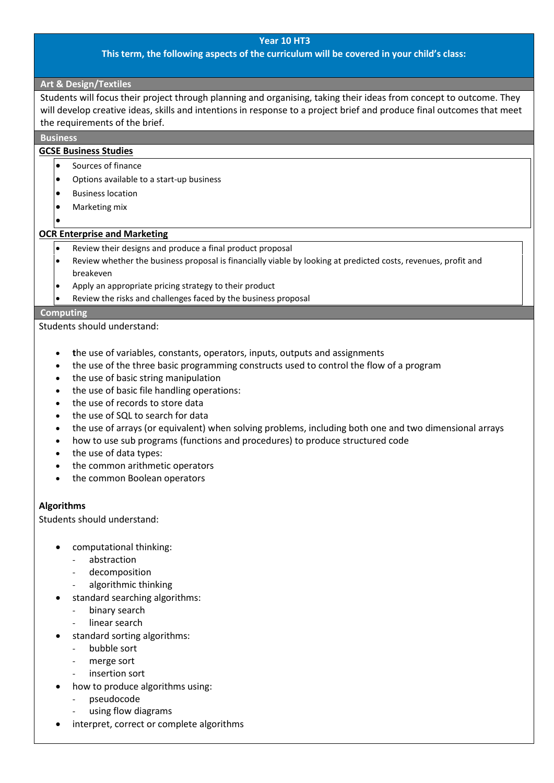#### **Year 10 HT3**

#### **This term, the following aspects of the curriculum will be covered in your child's class:**

#### **Art & Design/Textiles**

Students will focus their project through planning and organising, taking their ideas from concept to outcome. They will develop creative ideas, skills and intentions in response to a project brief and produce final outcomes that meet the requirements of the brief.

#### **Business**

#### **GCSE Business Studies**

- Sources of finance
- Options available to a start-up business
- Business location
- Marketing mix
- •

#### **OCR Enterprise and Marketing**

- Review their designs and produce a final product proposal
- Review whether the business proposal is financially viable by looking at predicted costs, revenues, profit and breakeven
- Apply an appropriate pricing strategy to their product
- Review the risks and challenges faced by the business proposal

## **Computing**

Students should understand:

- **t**he use of variables, constants, operators, inputs, outputs and assignments
- the use of the three basic programming constructs used to control the flow of a program
- the use of basic string manipulation
- the use of basic file handling operations:
- the use of records to store data
- the use of SQL to search for data
- the use of arrays (or equivalent) when solving problems, including both one and two dimensional arrays
- how to use sub programs (functions and procedures) to produce structured code
- the use of data types:
- the common arithmetic operators
- the common Boolean operators

#### **Algorithms**

Students should understand:

- computational thinking:
	- abstraction
	- decomposition
	- algorithmic thinking
- standard searching algorithms:
	- binary search
	- linear search
- standard sorting algorithms:
	- bubble sort
	- merge sort
	- insertion sort
- how to produce algorithms using:
	- pseudocode
	- using flow diagrams
- interpret, correct or complete algorithms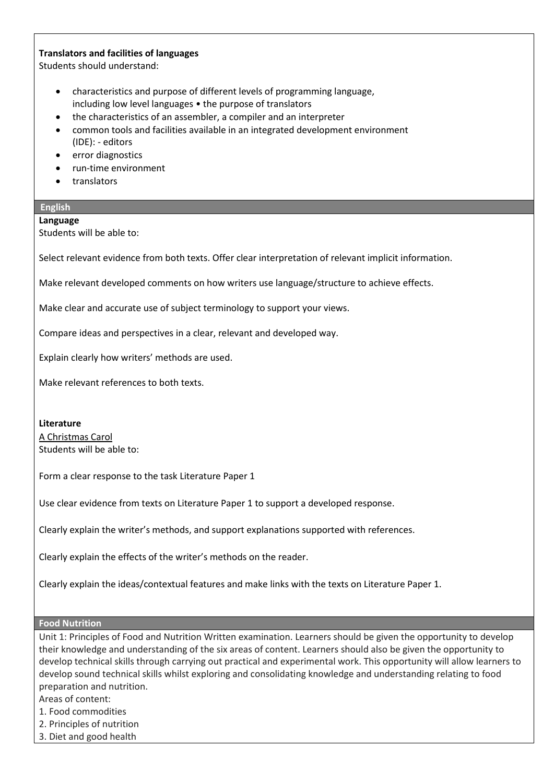### **Translators and facilities of languages**

Students should understand:

- characteristics and purpose of different levels of programming language, including low level languages • the purpose of translators
- the characteristics of an assembler, a compiler and an interpreter
- common tools and facilities available in an integrated development environment (IDE): - editors
- error diagnostics
- run-time environment
- translators

## **English**

#### **Language**

Students will be able to:

Select relevant evidence from both texts. Offer clear interpretation of relevant implicit information.

Make relevant developed comments on how writers use language/structure to achieve effects.

Make clear and accurate use of subject terminology to support your views.

Compare ideas and perspectives in a clear, relevant and developed way.

Explain clearly how writers' methods are used.

Make relevant references to both texts.

**Literature** A Christmas Carol Students will be able to:

Form a clear response to the task Literature Paper 1

Use clear evidence from texts on Literature Paper 1 to support a developed response.

Clearly explain the writer's methods, and support explanations supported with references.

Clearly explain the effects of the writer's methods on the reader.

Clearly explain the ideas/contextual features and make links with the texts on Literature Paper 1.

#### **Food Nutrition**

Unit 1: Principles of Food and Nutrition Written examination. Learners should be given the opportunity to develop their knowledge and understanding of the six areas of content. Learners should also be given the opportunity to develop technical skills through carrying out practical and experimental work. This opportunity will allow learners to develop sound technical skills whilst exploring and consolidating knowledge and understanding relating to food preparation and nutrition.

Areas of content:

- 1. Food commodities
- 2. Principles of nutrition
- 3. Diet and good health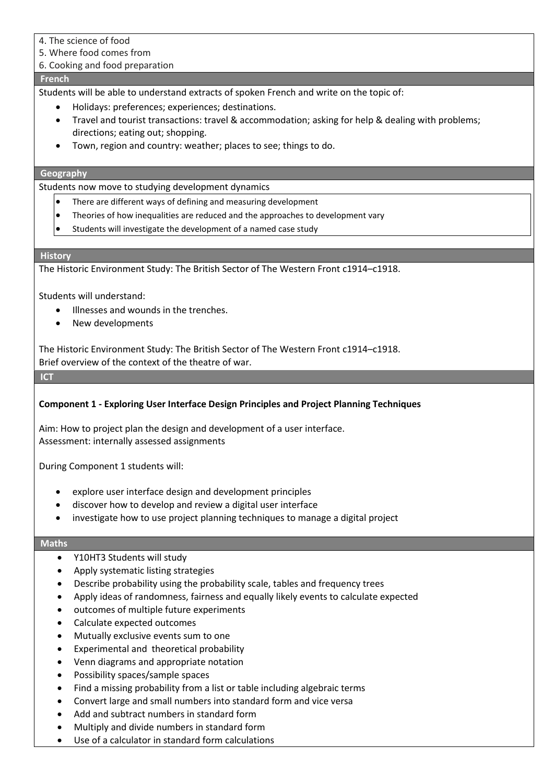- 4. The science of food
- 5. Where food comes from

## 6. Cooking and food preparation

### **French**

Students will be able to understand extracts of spoken French and write on the topic of:

- Holidays: preferences; experiences; destinations.
- Travel and tourist transactions: travel & accommodation; asking for help & dealing with problems; directions; eating out; shopping.
- Town, region and country: weather; places to see; things to do.

## **Geography**

Students now move to studying development dynamics

- There are different ways of defining and measuring development
- Theories of how inequalities are reduced and the approaches to development vary
- Students will investigate the development of a named case study

#### **History**

The Historic Environment Study: The British Sector of The Western Front c1914–c1918.

Students will understand:

- Illnesses and wounds in the trenches.
- New developments

The Historic Environment Study: The British Sector of The Western Front c1914–c1918. Brief overview of the context of the theatre of war.

**ICT** 

## **Component 1 - Exploring User Interface Design Principles and Project Planning Techniques**

Aim: How to project plan the design and development of a user interface. Assessment: internally assessed assignments

During Component 1 students will:

- explore user interface design and development principles
- discover how to develop and review a digital user interface
- investigate how to use project planning techniques to manage a digital project

#### **Maths**

- Y10HT3 Students will study
- Apply systematic listing strategies
- Describe probability using the probability scale, tables and frequency trees
- Apply ideas of randomness, fairness and equally likely events to calculate expected
- outcomes of multiple future experiments
- Calculate expected outcomes
- Mutually exclusive events sum to one
- Experimental and theoretical probability
- Venn diagrams and appropriate notation
- Possibility spaces/sample spaces
- Find a missing probability from a list or table including algebraic terms
- Convert large and small numbers into standard form and vice versa
- Add and subtract numbers in standard form
- Multiply and divide numbers in standard form
- Use of a calculator in standard form calculations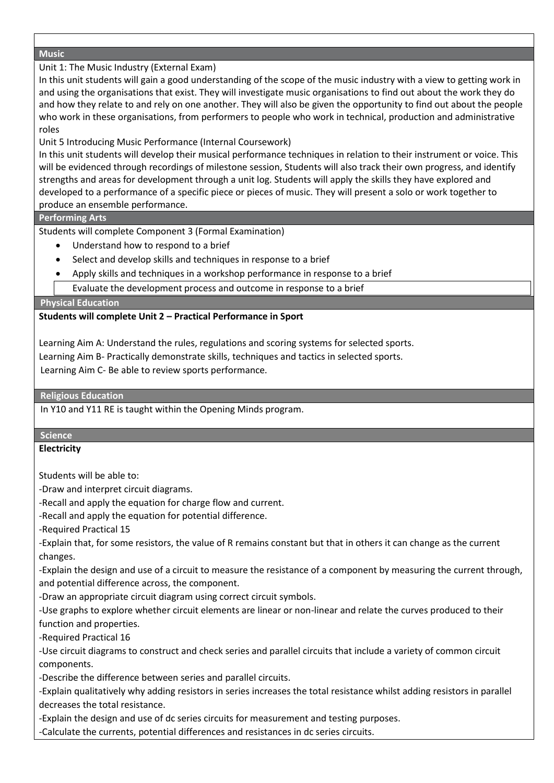### **Music**

## Unit 1: The Music Industry (External Exam)

In this unit students will gain a good understanding of the scope of the music industry with a view to getting work in and using the organisations that exist. They will investigate music organisations to find out about the work they do and how they relate to and rely on one another. They will also be given the opportunity to find out about the people who work in these organisations, from performers to people who work in technical, production and administrative roles

## Unit 5 Introducing Music Performance (Internal Coursework)

In this unit students will develop their musical performance techniques in relation to their instrument or voice. This will be evidenced through recordings of milestone session, Students will also track their own progress, and identify strengths and areas for development through a unit log. Students will apply the skills they have explored and developed to a performance of a specific piece or pieces of music. They will present a solo or work together to produce an ensemble performance.

## **Performing Arts**

Students will complete Component 3 (Formal Examination)

- Understand how to respond to a brief
- Select and develop skills and techniques in response to a brief
- Apply skills and techniques in a workshop performance in response to a brief
- Evaluate the development process and outcome in response to a brief

#### **Physical Education**

## **Students will complete Unit 2 – Practical Performance in Sport**

Learning Aim A: Understand the rules, regulations and scoring systems for selected sports.

Learning Aim B- Practically demonstrate skills, techniques and tactics in selected sports.

Learning Aim C- Be able to review sports performance.

**Religious Education**

In Y10 and Y11 RE is taught within the Opening Minds program.

#### **Science**

#### **Electricity**

Students will be able to:

-Draw and interpret circuit diagrams.

-Recall and apply the equation for charge flow and current.

-Recall and apply the equation for potential difference.

-Required Practical 15

-Explain that, for some resistors, the value of R remains constant but that in others it can change as the current changes.

-Explain the design and use of a circuit to measure the resistance of a component by measuring the current through, and potential difference across, the component.

-Draw an appropriate circuit diagram using correct circuit symbols.

-Use graphs to explore whether circuit elements are linear or non-linear and relate the curves produced to their function and properties.

-Required Practical 16

-Use circuit diagrams to construct and check series and parallel circuits that include a variety of common circuit components.

-Describe the difference between series and parallel circuits.

-Explain qualitatively why adding resistors in series increases the total resistance whilst adding resistors in parallel decreases the total resistance.

-Explain the design and use of dc series circuits for measurement and testing purposes.

-Calculate the currents, potential differences and resistances in dc series circuits.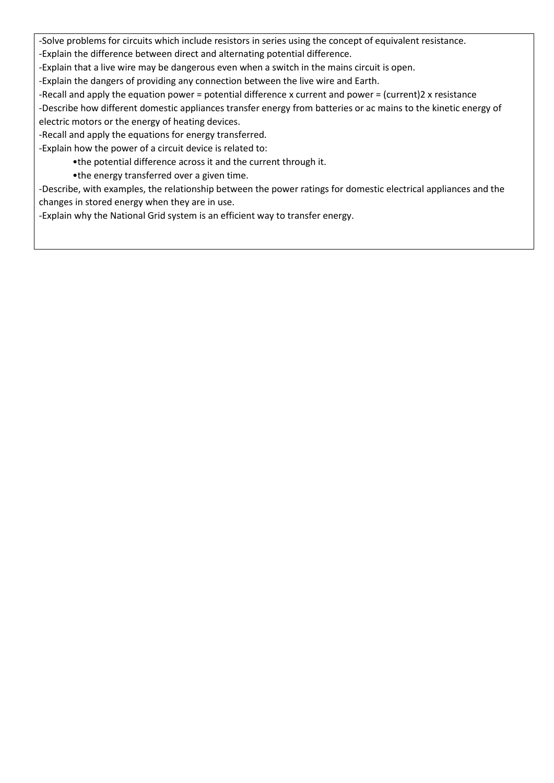-Solve problems for circuits which include resistors in series using the concept of equivalent resistance.

-Explain the difference between direct and alternating potential difference.

-Explain that a live wire may be dangerous even when a switch in the mains circuit is open.

-Explain the dangers of providing any connection between the live wire and Earth.

-Recall and apply the equation power = potential difference x current and power = (current)2 x resistance

-Describe how different domestic appliances transfer energy from batteries or ac mains to the kinetic energy of electric motors or the energy of heating devices.

-Recall and apply the equations for energy transferred.

-Explain how the power of a circuit device is related to:

•the potential difference across it and the current through it.

•the energy transferred over a given time.

-Describe, with examples, the relationship between the power ratings for domestic electrical appliances and the changes in stored energy when they are in use.

-Explain why the National Grid system is an efficient way to transfer energy.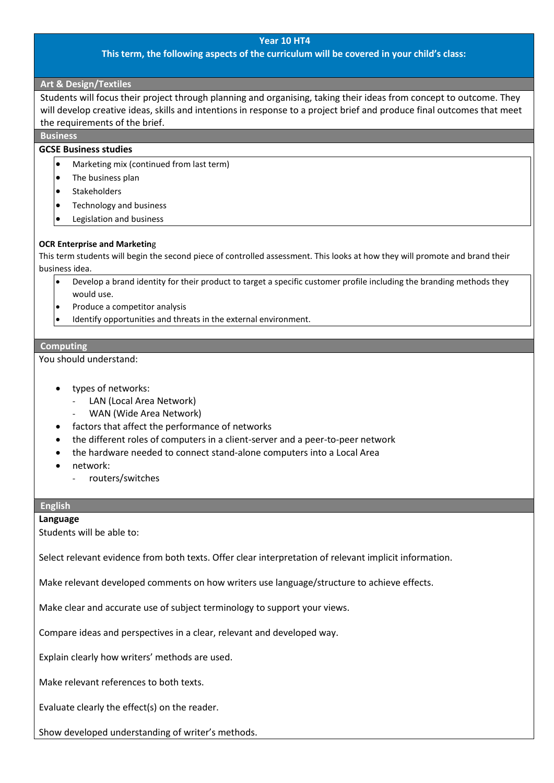#### **Year 10 HT4**

#### **This term, the following aspects of the curriculum will be covered in your child's class:**

#### **Art & Design/Textiles**

Students will focus their project through planning and organising, taking their ideas from concept to outcome. They will develop creative ideas, skills and intentions in response to a project brief and produce final outcomes that meet the requirements of the brief.

**Business**

## **GCSE Business studies**

- Marketing mix (continued from last term)
- The business plan
- Stakeholders
- Technology and business
- Legislation and business

#### **OCR Enterprise and Marketin**g

This term students will begin the second piece of controlled assessment. This looks at how they will promote and brand their business idea.

- Develop a brand identity for their product to target a specific customer profile including the branding methods they would use.
- Produce a competitor analysis
- Identify opportunities and threats in the external environment.

#### **Computing**

You should understand:

- types of networks:
	- LAN (Local Area Network)
	- WAN (Wide Area Network)
- factors that affect the performance of networks
- the different roles of computers in a client-server and a peer-to-peer network
- the hardware needed to connect stand-alone computers into a Local Area
- network:
	- routers/switches

## **English**

#### **Language**

Students will be able to:

Select relevant evidence from both texts. Offer clear interpretation of relevant implicit information.

Make relevant developed comments on how writers use language/structure to achieve effects.

Make clear and accurate use of subject terminology to support your views.

Compare ideas and perspectives in a clear, relevant and developed way.

Explain clearly how writers' methods are used.

Make relevant references to both texts.

Evaluate clearly the effect(s) on the reader.

Show developed understanding of writer's methods.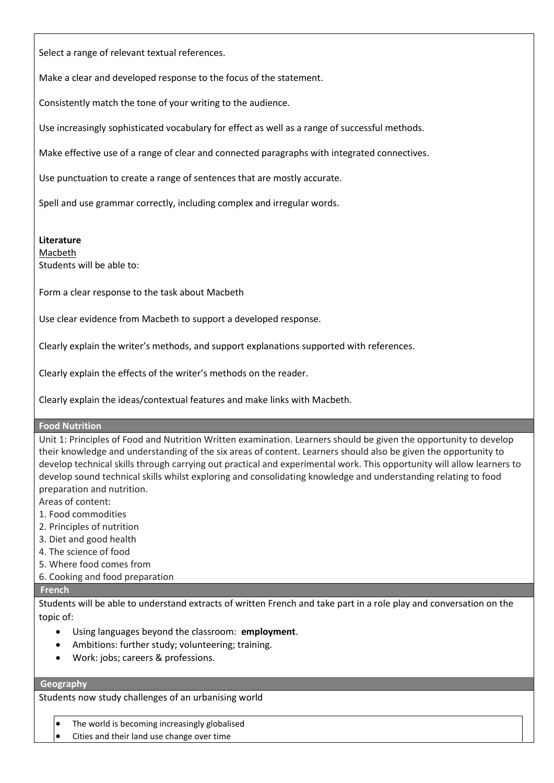Select a range of relevant textual references.

Make a clear and developed response to the focus of the statement.

Consistently match the tone of your writing to the audience.

Use increasingly sophisticated vocabulary for effect as well as a range of successful methods.

Make effective use of a range of clear and connected paragraphs with integrated connectives.

Use punctuation to create a range of sentences that are mostly accurate.

Spell and use grammar correctly, including complex and irregular words.

**Literature**

Macbeth Students will be able to:

Form a clear response to the task about Macbeth

Use clear evidence from Macbeth to support a developed response.

Clearly explain the writer's methods, and support explanations supported with references.

Clearly explain the effects of the writer's methods on the reader.

Clearly explain the ideas/contextual features and make links with Macbeth.

#### **Food Nutrition**

Unit 1: Principles of Food and Nutrition Written examination. Learners should be given the opportunity to develop their knowledge and understanding of the six areas of content. Learners should also be given the opportunity to develop technical skills through carrying out practical and experimental work. This opportunity will allow learners to develop sound technical skills whilst exploring and consolidating knowledge and understanding relating to food preparation and nutrition.

Areas of content:

- 1. Food commodities
- 2. Principles of nutrition
- 3. Diet and good health
- 4. The science of food
- 5. Where food comes from
- 6. Cooking and food preparation

#### **French**

Students will be able to understand extracts of written French and take part in a role play and conversation on the topic of:

- Using languages beyond the classroom: **employment**.
- Ambitions: further study; volunteering; training.
- Work: jobs; careers & professions.

#### **Geography**

Students now study challenges of an urbanising world

- The world is becoming increasingly globalised
- Cities and their land use change over time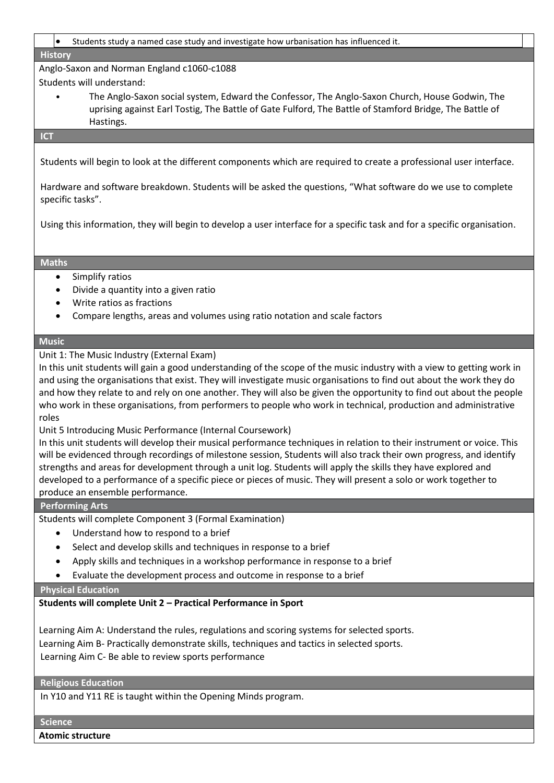#### • Students study a named case study and investigate how urbanisation has influenced it.

#### **History**

Anglo-Saxon and Norman England c1060-c1088 Students will understand:

• The Anglo-Saxon social system, Edward the Confessor, The Anglo-Saxon Church, House Godwin, The uprising against Earl Tostig, The Battle of Gate Fulford, The Battle of Stamford Bridge, The Battle of Hastings.

#### **ICT**

Students will begin to look at the different components which are required to create a professional user interface.

Hardware and software breakdown. Students will be asked the questions, "What software do we use to complete specific tasks".

Using this information, they will begin to develop a user interface for a specific task and for a specific organisation.

#### **Maths**

- Simplify ratios
- Divide a quantity into a given ratio
- Write ratios as fractions
- Compare lengths, areas and volumes using ratio notation and scale factors

#### **Music**

Unit 1: The Music Industry (External Exam)

In this unit students will gain a good understanding of the scope of the music industry with a view to getting work in and using the organisations that exist. They will investigate music organisations to find out about the work they do and how they relate to and rely on one another. They will also be given the opportunity to find out about the people who work in these organisations, from performers to people who work in technical, production and administrative roles

Unit 5 Introducing Music Performance (Internal Coursework)

In this unit students will develop their musical performance techniques in relation to their instrument or voice. This will be evidenced through recordings of milestone session, Students will also track their own progress, and identify strengths and areas for development through a unit log. Students will apply the skills they have explored and developed to a performance of a specific piece or pieces of music. They will present a solo or work together to produce an ensemble performance.

#### **Performing Arts**

Students will complete Component 3 (Formal Examination)

- Understand how to respond to a brief
- Select and develop skills and techniques in response to a brief
- Apply skills and techniques in a workshop performance in response to a brief
- Evaluate the development process and outcome in response to a brief

## **Physical Education**

**Students will complete Unit 2 – Practical Performance in Sport** 

Learning Aim A: Understand the rules, regulations and scoring systems for selected sports. Learning Aim B- Practically demonstrate skills, techniques and tactics in selected sports. Learning Aim C- Be able to review sports performance

#### **Religious Education**

In Y10 and Y11 RE is taught within the Opening Minds program.

#### **Science**

**Atomic structure**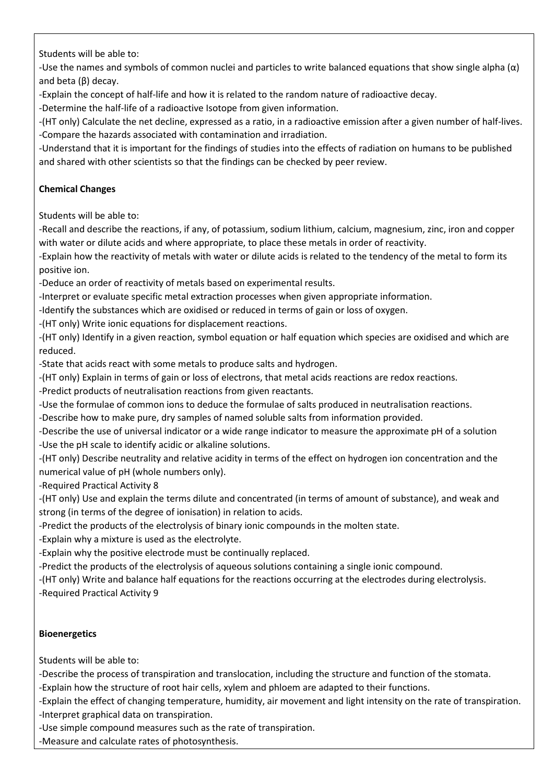Students will be able to:

-Use the names and symbols of common nuclei and particles to write balanced equations that show single alpha  $(\alpha)$ and beta (β) decay.

-Explain the concept of half-life and how it is related to the random nature of radioactive decay.

-Determine the half-life of a radioactive Isotope from given information.

-(HT only) Calculate the net decline, expressed as a ratio, in a radioactive emission after a given number of half-lives. -Compare the hazards associated with contamination and irradiation.

-Understand that it is important for the findings of studies into the effects of radiation on humans to be published and shared with other scientists so that the findings can be checked by peer review.

## **Chemical Changes**

Students will be able to:

-Recall and describe the reactions, if any, of potassium, sodium lithium, calcium, magnesium, zinc, iron and copper with water or dilute acids and where appropriate, to place these metals in order of reactivity.

-Explain how the reactivity of metals with water or dilute acids is related to the tendency of the metal to form its positive ion.

-Deduce an order of reactivity of metals based on experimental results.

-Interpret or evaluate specific metal extraction processes when given appropriate information.

-Identify the substances which are oxidised or reduced in terms of gain or loss of oxygen.

-(HT only) Write ionic equations for displacement reactions.

-(HT only) Identify in a given reaction, symbol equation or half equation which species are oxidised and which are reduced.

-State that acids react with some metals to produce salts and hydrogen.

-(HT only) Explain in terms of gain or loss of electrons, that metal acids reactions are redox reactions.

-Predict products of neutralisation reactions from given reactants.

-Use the formulae of common ions to deduce the formulae of salts produced in neutralisation reactions.

-Describe how to make pure, dry samples of named soluble salts from information provided.

-Describe the use of universal indicator or a wide range indicator to measure the approximate pH of a solution -Use the pH scale to identify acidic or alkaline solutions.

-(HT only) Describe neutrality and relative acidity in terms of the effect on hydrogen ion concentration and the numerical value of pH (whole numbers only).

-Required Practical Activity 8

-(HT only) Use and explain the terms dilute and concentrated (in terms of amount of substance), and weak and strong (in terms of the degree of ionisation) in relation to acids.

-Predict the products of the electrolysis of binary ionic compounds in the molten state.

-Explain why a mixture is used as the electrolyte.

-Explain why the positive electrode must be continually replaced.

-Predict the products of the electrolysis of aqueous solutions containing a single ionic compound.

-(HT only) Write and balance half equations for the reactions occurring at the electrodes during electrolysis. -Required Practical Activity 9

## **Bioenergetics**

Students will be able to:

-Describe the process of transpiration and translocation, including the structure and function of the stomata.

-Explain how the structure of root hair cells, xylem and phloem are adapted to their functions.

-Explain the effect of changing temperature, humidity, air movement and light intensity on the rate of transpiration.

-Interpret graphical data on transpiration.

-Use simple compound measures such as the rate of transpiration.

-Measure and calculate rates of photosynthesis.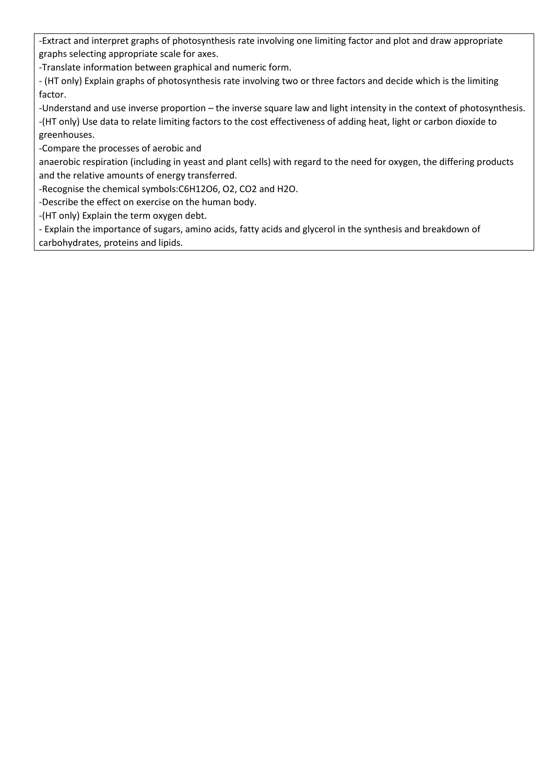-Extract and interpret graphs of photosynthesis rate involving one limiting factor and plot and draw appropriate graphs selecting appropriate scale for axes.

-Translate information between graphical and numeric form.

- (HT only) Explain graphs of photosynthesis rate involving two or three factors and decide which is the limiting factor.

-Understand and use inverse proportion – the inverse square law and light intensity in the context of photosynthesis. -(HT only) Use data to relate limiting factors to the cost effectiveness of adding heat, light or carbon dioxide to greenhouses.

-Compare the processes of aerobic and

anaerobic respiration (including in yeast and plant cells) with regard to the need for oxygen, the differing products and the relative amounts of energy transferred.

-Recognise the chemical symbols:C6H12O6, O2, CO2 and H2O.

-Describe the effect on exercise on the human body.

-(HT only) Explain the term oxygen debt.

- Explain the importance of sugars, amino acids, fatty acids and glycerol in the synthesis and breakdown of carbohydrates, proteins and lipids.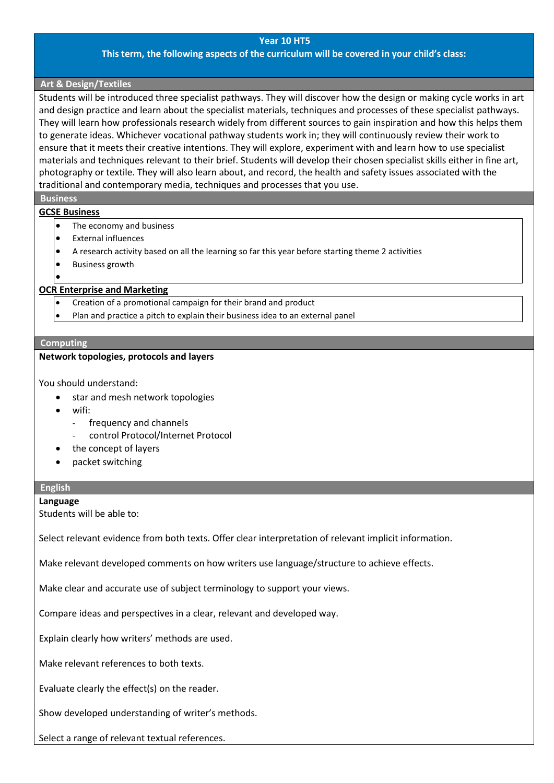#### **Year 10 HT5**

#### **This term, the following aspects of the curriculum will be covered in your child's class:**

#### **Art & Design/Textiles**

Students will be introduced three specialist pathways. They will discover how the design or making cycle works in art and design practice and learn about the specialist materials, techniques and processes of these specialist pathways. They will learn how professionals research widely from different sources to gain inspiration and how this helps them to generate ideas. Whichever vocational pathway students work in; they will continuously review their work to ensure that it meets their creative intentions. They will explore, experiment with and learn how to use specialist materials and techniques relevant to their brief. Students will develop their chosen specialist skills either in fine art, photography or textile. They will also learn about, and record, the health and safety issues associated with the traditional and contemporary media, techniques and processes that you use.

### **Business**

•

#### **GCSE Business**

- The economy and business
- External influences
- A research activity based on all the learning so far this year before starting theme 2 activities
- Business growth

#### **OCR Enterprise and Marketing**

- Creation of a promotional campaign for their brand and product
- Plan and practice a pitch to explain their business idea to an external panel

#### **Computing**

#### **Network topologies, protocols and layers**

You should understand:

- star and mesh network topologies
- wifi:
	- frequency and channels
	- control Protocol/Internet Protocol
- the concept of layers
- packet switching

#### **English**

#### **Language**

Students will be able to:

Select relevant evidence from both texts. Offer clear interpretation of relevant implicit information.

Make relevant developed comments on how writers use language/structure to achieve effects.

Make clear and accurate use of subject terminology to support your views.

Compare ideas and perspectives in a clear, relevant and developed way.

Explain clearly how writers' methods are used.

Make relevant references to both texts.

Evaluate clearly the effect(s) on the reader.

Show developed understanding of writer's methods.

Select a range of relevant textual references.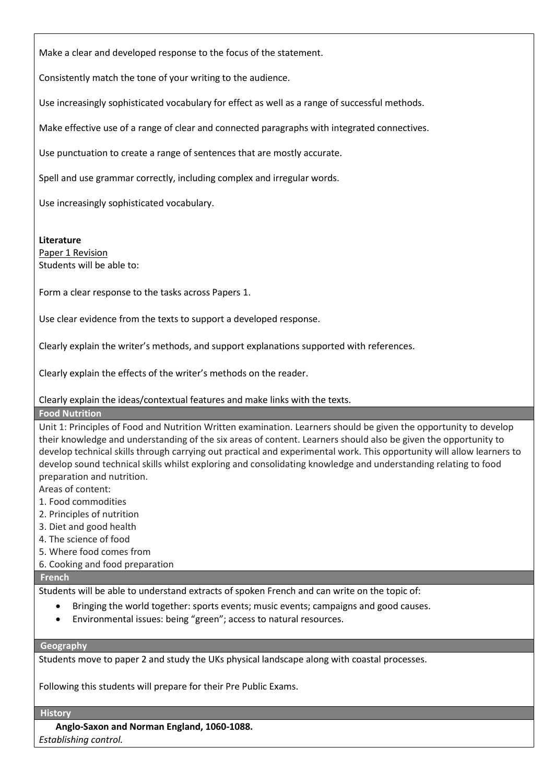Make a clear and developed response to the focus of the statement.

Consistently match the tone of your writing to the audience.

Use increasingly sophisticated vocabulary for effect as well as a range of successful methods.

Make effective use of a range of clear and connected paragraphs with integrated connectives.

Use punctuation to create a range of sentences that are mostly accurate.

Spell and use grammar correctly, including complex and irregular words.

Use increasingly sophisticated vocabulary.

#### **Literature**

Paper 1 Revision Students will be able to:

Form a clear response to the tasks across Papers 1.

Use clear evidence from the texts to support a developed response.

Clearly explain the writer's methods, and support explanations supported with references.

Clearly explain the effects of the writer's methods on the reader.

Clearly explain the ideas/contextual features and make links with the texts.

#### **Food Nutrition**

Unit 1: Principles of Food and Nutrition Written examination. Learners should be given the opportunity to develop their knowledge and understanding of the six areas of content. Learners should also be given the opportunity to develop technical skills through carrying out practical and experimental work. This opportunity will allow learners to develop sound technical skills whilst exploring and consolidating knowledge and understanding relating to food preparation and nutrition.

- Areas of content:
- 1. Food commodities
- 2. Principles of nutrition
- 3. Diet and good health
- 4. The science of food
- 5. Where food comes from
- 6. Cooking and food preparation

## **French**

Students will be able to understand extracts of spoken French and can write on the topic of:

- Bringing the world together: sports events; music events; campaigns and good causes.
- Environmental issues: being "green"; access to natural resources.

#### **Geography**

Students move to paper 2 and study the UKs physical landscape along with coastal processes.

Following this students will prepare for their Pre Public Exams.

#### **History**

**Anglo-Saxon and Norman England, 1060-1088.**  *Establishing control.*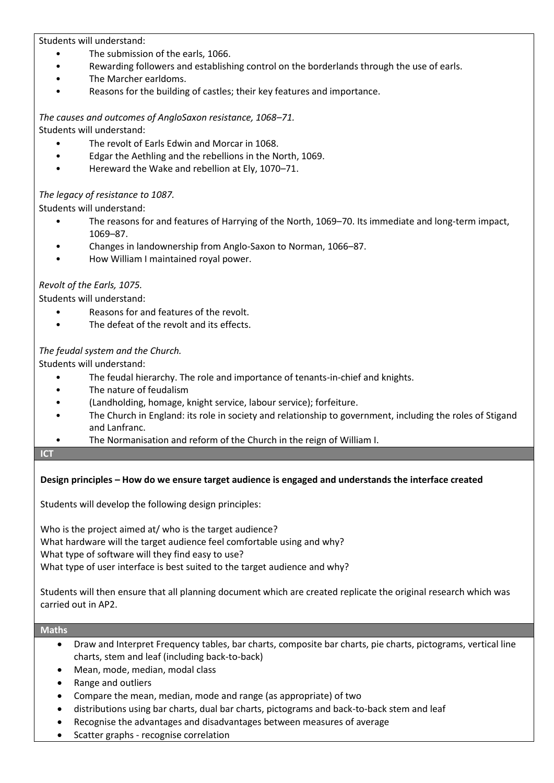Students will understand:

- The submission of the earls, 1066.
- Rewarding followers and establishing control on the borderlands through the use of earls.
- The Marcher earldoms.
- Reasons for the building of castles; their key features and importance.

*The causes and outcomes of AngloSaxon resistance, 1068–71.* Students will understand:

- The revolt of Earls Edwin and Morcar in 1068.
- Edgar the Aethling and the rebellions in the North, 1069.
- Hereward the Wake and rebellion at Ely, 1070–71.

## *The legacy of resistance to 1087.*

Students will understand:

- The reasons for and features of Harrying of the North, 1069–70. Its immediate and long-term impact, 1069–87.
- Changes in landownership from Anglo-Saxon to Norman, 1066–87.
- How William I maintained royal power.

## *Revolt of the Earls, 1075.*

Students will understand:

- Reasons for and features of the revolt.
- The defeat of the revolt and its effects.

## *The feudal system and the Church.*

Students will understand:

- The feudal hierarchy. The role and importance of tenants-in-chief and knights.
- The nature of feudalism
- (Landholding, homage, knight service, labour service); forfeiture.
- The Church in England: its role in society and relationship to government, including the roles of Stigand and Lanfranc.
- The Normanisation and reform of the Church in the reign of William I.

#### **ICT**

## **Design principles – How do we ensure target audience is engaged and understands the interface created**

Students will develop the following design principles:

Who is the project aimed at/ who is the target audience? What hardware will the target audience feel comfortable using and why? What type of software will they find easy to use? What type of user interface is best suited to the target audience and why?

Students will then ensure that all planning document which are created replicate the original research which was carried out in AP2.

#### **Maths**

- Draw and Interpret Frequency tables, bar charts, composite bar charts, pie charts, pictograms, vertical line charts, stem and leaf (including back-to-back)
- Mean, mode, median, modal class
- Range and outliers
- Compare the mean, median, mode and range (as appropriate) of two
- distributions using bar charts, dual bar charts, pictograms and back-to-back stem and leaf
- Recognise the advantages and disadvantages between measures of average
- Scatter graphs recognise correlation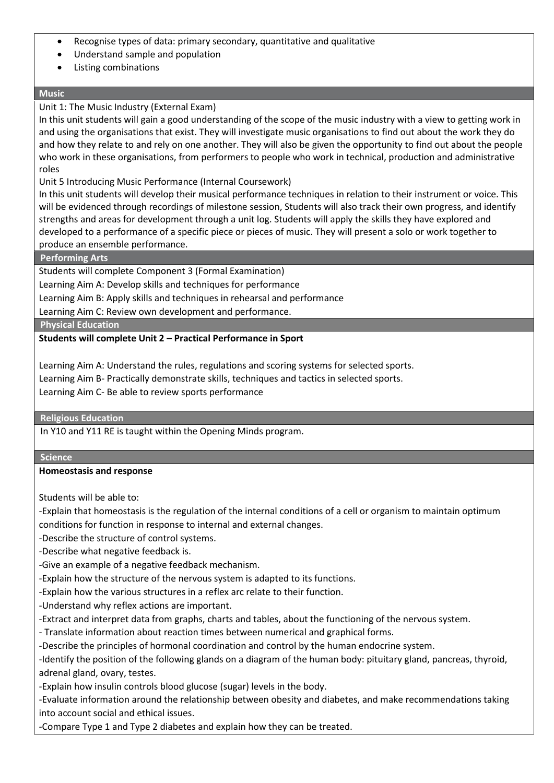- Recognise types of data: primary secondary, quantitative and qualitative
- Understand sample and population
- Listing combinations

## **Music**

## Unit 1: The Music Industry (External Exam)

In this unit students will gain a good understanding of the scope of the music industry with a view to getting work in and using the organisations that exist. They will investigate music organisations to find out about the work they do and how they relate to and rely on one another. They will also be given the opportunity to find out about the people who work in these organisations, from performers to people who work in technical, production and administrative roles

Unit 5 Introducing Music Performance (Internal Coursework)

In this unit students will develop their musical performance techniques in relation to their instrument or voice. This will be evidenced through recordings of milestone session, Students will also track their own progress, and identify strengths and areas for development through a unit log. Students will apply the skills they have explored and developed to a performance of a specific piece or pieces of music. They will present a solo or work together to produce an ensemble performance.

## **Performing Arts**

Students will complete Component 3 (Formal Examination)

Learning Aim A: Develop skills and techniques for performance

Learning Aim B: Apply skills and techniques in rehearsal and performance

Learning Aim C: Review own development and performance.

**Physical Education**

## **Students will complete Unit 2 – Practical Performance in Sport**

Learning Aim A: Understand the rules, regulations and scoring systems for selected sports. Learning Aim B- Practically demonstrate skills, techniques and tactics in selected sports.

Learning Aim C- Be able to review sports performance

## **Religious Education**

In Y10 and Y11 RE is taught within the Opening Minds program.

#### **Science**

## **Homeostasis and response**

Students will be able to:

-Explain that homeostasis is the regulation of the internal conditions of a cell or organism to maintain optimum conditions for function in response to internal and external changes.

- -Describe the structure of control systems.
- -Describe what negative feedback is.
- -Give an example of a negative feedback mechanism.
- -Explain how the structure of the nervous system is adapted to its functions.
- -Explain how the various structures in a reflex arc relate to their function.
- -Understand why reflex actions are important.
- -Extract and interpret data from graphs, charts and tables, about the functioning of the nervous system.
- Translate information about reaction times between numerical and graphical forms.
- -Describe the principles of hormonal coordination and control by the human endocrine system.

-Identify the position of the following glands on a diagram of the human body: pituitary gland, pancreas, thyroid, adrenal gland, ovary, testes.

-Explain how insulin controls blood glucose (sugar) levels in the body.

-Evaluate information around the relationship between obesity and diabetes, and make recommendations taking into account social and ethical issues.

-Compare Type 1 and Type 2 diabetes and explain how they can be treated.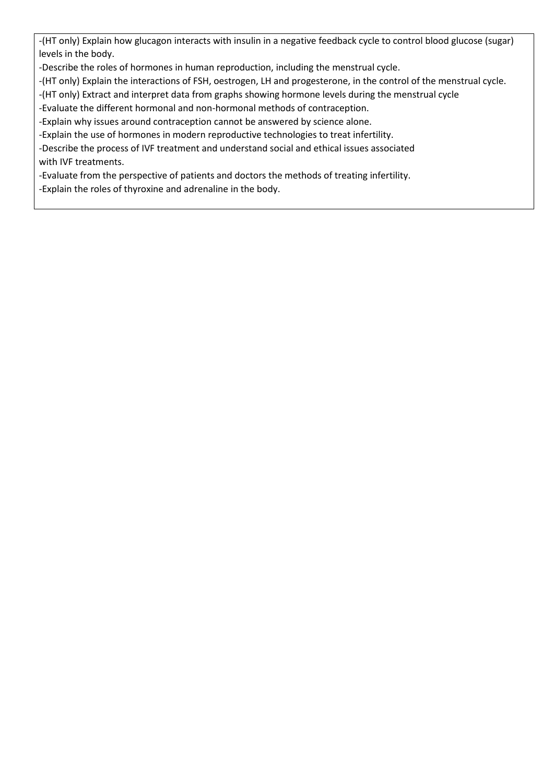-(HT only) Explain how glucagon interacts with insulin in a negative feedback cycle to control blood glucose (sugar) levels in the body.

-Describe the roles of hormones in human reproduction, including the menstrual cycle.

-(HT only) Explain the interactions of FSH, oestrogen, LH and progesterone, in the control of the menstrual cycle.

-(HT only) Extract and interpret data from graphs showing hormone levels during the menstrual cycle

-Evaluate the different hormonal and non-hormonal methods of contraception.

-Explain why issues around contraception cannot be answered by science alone.

-Explain the use of hormones in modern reproductive technologies to treat infertility.

-Describe the process of IVF treatment and understand social and ethical issues associated with IVF treatments.

-Evaluate from the perspective of patients and doctors the methods of treating infertility.

-Explain the roles of thyroxine and adrenaline in the body.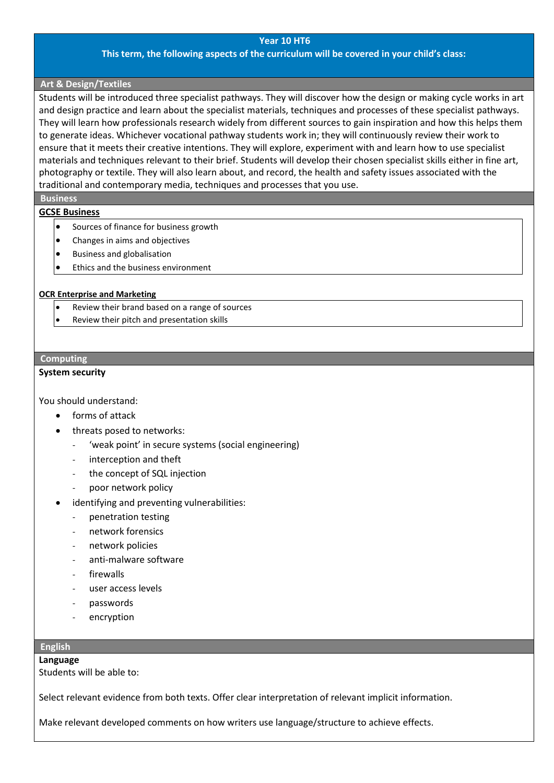#### **Year 10 HT6**

#### **This term, the following aspects of the curriculum will be covered in your child's class:**

#### **Art & Design/Textiles**

Students will be introduced three specialist pathways. They will discover how the design or making cycle works in art and design practice and learn about the specialist materials, techniques and processes of these specialist pathways. They will learn how professionals research widely from different sources to gain inspiration and how this helps them to generate ideas. Whichever vocational pathway students work in; they will continuously review their work to ensure that it meets their creative intentions. They will explore, experiment with and learn how to use specialist materials and techniques relevant to their brief. Students will develop their chosen specialist skills either in fine art, photography or textile. They will also learn about, and record, the health and safety issues associated with the traditional and contemporary media, techniques and processes that you use.

#### **Business**

#### **GCSE Business**

- Sources of finance for business growth
- Changes in aims and objectives
- Business and globalisation
- Ethics and the business environment

#### **OCR Enterprise and Marketing**

- Review their brand based on a range of sources
- Review their pitch and presentation skills

#### **Computing**

## **System security**

You should understand:

- forms of attack
- threats posed to networks:
	- 'weak point' in secure systems (social engineering)
	- interception and theft
	- the concept of SQL injection
	- poor network policy
- identifying and preventing vulnerabilities:
	- penetration testing
	- network forensics
	- network policies
	- anti-malware software
	- firewalls
	- user access levels
	- passwords
	- encryption

#### **English**

#### **Language**

Students will be able to:

Select relevant evidence from both texts. Offer clear interpretation of relevant implicit information.

Make relevant developed comments on how writers use language/structure to achieve effects.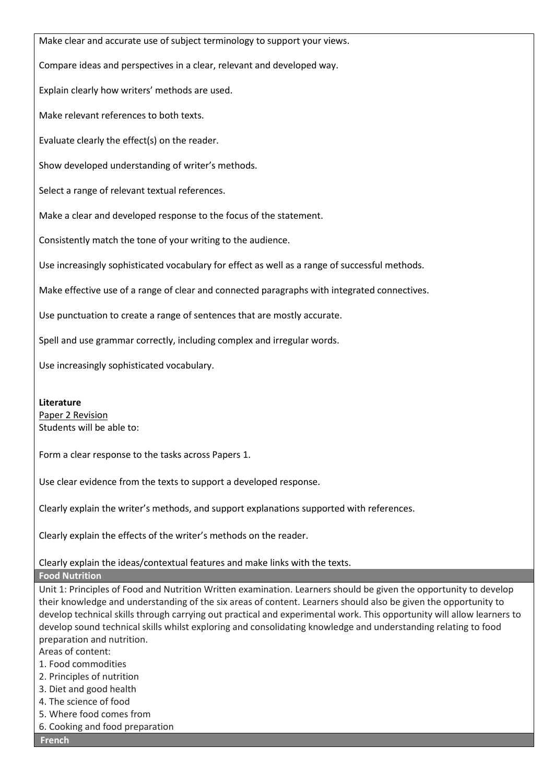Make clear and accurate use of subject terminology to support your views.

Compare ideas and perspectives in a clear, relevant and developed way.

Explain clearly how writers' methods are used.

Make relevant references to both texts.

Evaluate clearly the effect(s) on the reader.

Show developed understanding of writer's methods.

Select a range of relevant textual references.

Make a clear and developed response to the focus of the statement.

Consistently match the tone of your writing to the audience.

Use increasingly sophisticated vocabulary for effect as well as a range of successful methods.

Make effective use of a range of clear and connected paragraphs with integrated connectives.

Use punctuation to create a range of sentences that are mostly accurate.

Spell and use grammar correctly, including complex and irregular words.

Use increasingly sophisticated vocabulary.

#### **Literature**

Paper 2 Revision Students will be able to:

Form a clear response to the tasks across Papers 1.

Use clear evidence from the texts to support a developed response.

Clearly explain the writer's methods, and support explanations supported with references.

Clearly explain the effects of the writer's methods on the reader.

Clearly explain the ideas/contextual features and make links with the texts.

**Food Nutrition**

Unit 1: Principles of Food and Nutrition Written examination. Learners should be given the opportunity to develop their knowledge and understanding of the six areas of content. Learners should also be given the opportunity to develop technical skills through carrying out practical and experimental work. This opportunity will allow learners to develop sound technical skills whilst exploring and consolidating knowledge and understanding relating to food preparation and nutrition.

Areas of content:

- 1. Food commodities
- 2. Principles of nutrition
- 3. Diet and good health
- 4. The science of food
- 5. Where food comes from
- 6. Cooking and food preparation

**French**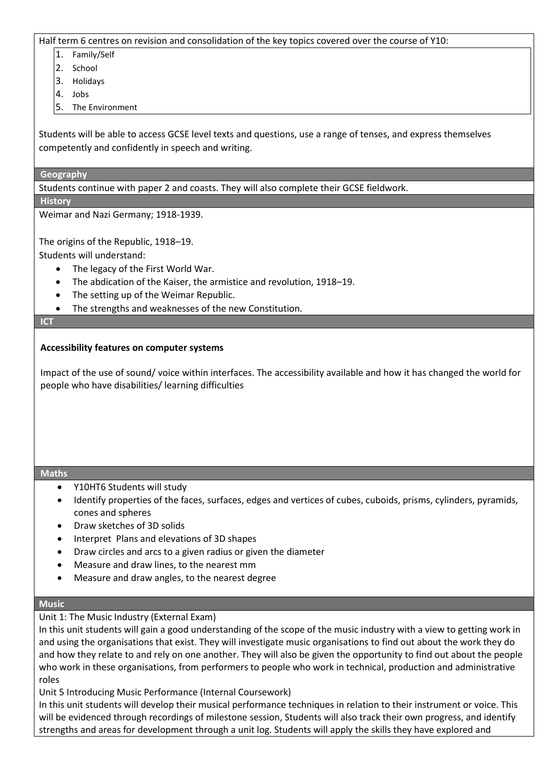Half term 6 centres on revision and consolidation of the key topics covered over the course of Y10:

- 1. Family/Self
- 2. School
- 3. Holidays
- 4. Jobs
- 5. The Environment

Students will be able to access GCSE level texts and questions, use a range of tenses, and express themselves competently and confidently in speech and writing.

### **Geography**

Students continue with paper 2 and coasts. They will also complete their GCSE fieldwork.

**History**

Weimar and Nazi Germany; 1918-1939.

The origins of the Republic, 1918–19.

Students will understand:

- The legacy of the First World War.
- The abdication of the Kaiser, the armistice and revolution, 1918–19.
- The setting up of the Weimar Republic.
- The strengths and weaknesses of the new Constitution.

#### **ICT**

## **Accessibility features on computer systems**

Impact of the use of sound/ voice within interfaces. The accessibility available and how it has changed the world for people who have disabilities/ learning difficulties

#### **Maths**

- Y10HT6 Students will study
- Identify properties of the faces, surfaces, edges and vertices of cubes, cuboids, prisms, cylinders, pyramids, cones and spheres
- Draw sketches of 3D solids
- Interpret Plans and elevations of 3D shapes
- Draw circles and arcs to a given radius or given the diameter
- Measure and draw lines, to the nearest mm
- Measure and draw angles, to the nearest degree

## **Music**

Unit 1: The Music Industry (External Exam)

In this unit students will gain a good understanding of the scope of the music industry with a view to getting work in and using the organisations that exist. They will investigate music organisations to find out about the work they do and how they relate to and rely on one another. They will also be given the opportunity to find out about the people who work in these organisations, from performers to people who work in technical, production and administrative roles

Unit 5 Introducing Music Performance (Internal Coursework)

In this unit students will develop their musical performance techniques in relation to their instrument or voice. This will be evidenced through recordings of milestone session, Students will also track their own progress, and identify strengths and areas for development through a unit log. Students will apply the skills they have explored and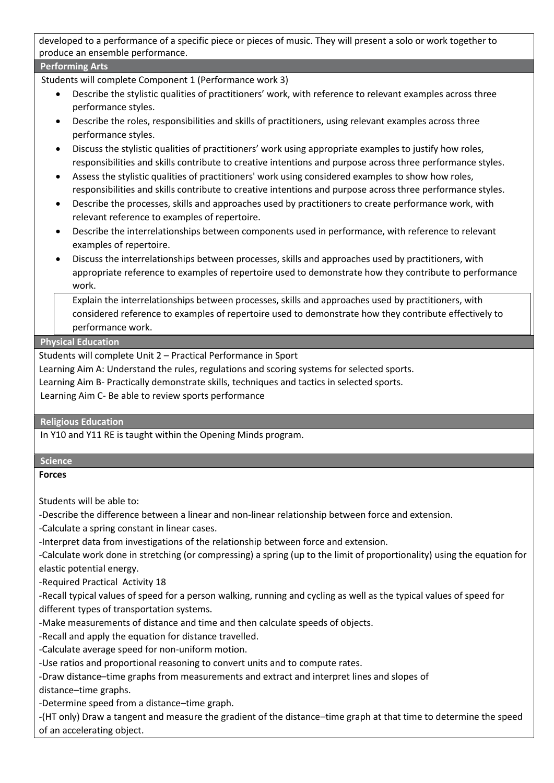developed to a performance of a specific piece or pieces of music. They will present a solo or work together to produce an ensemble performance.

## **Performing Arts**

Students will complete Component 1 (Performance work 3)

- Describe the stylistic qualities of practitioners' work, with reference to relevant examples across three performance styles.
- Describe the roles, responsibilities and skills of practitioners, using relevant examples across three performance styles.
- Discuss the stylistic qualities of practitioners' work using appropriate examples to justify how roles, responsibilities and skills contribute to creative intentions and purpose across three performance styles.
- Assess the stylistic qualities of practitioners' work using considered examples to show how roles, responsibilities and skills contribute to creative intentions and purpose across three performance styles.
- Describe the processes, skills and approaches used by practitioners to create performance work, with relevant reference to examples of repertoire.
- Describe the interrelationships between components used in performance, with reference to relevant examples of repertoire.
- Discuss the interrelationships between processes, skills and approaches used by practitioners, with appropriate reference to examples of repertoire used to demonstrate how they contribute to performance work.

• Explain the interrelationships between processes, skills and approaches used by practitioners, with considered reference to examples of repertoire used to demonstrate how they contribute effectively to performance work.

## **Physical Education**

Students will complete Unit 2 – Practical Performance in Sport

Learning Aim A: Understand the rules, regulations and scoring systems for selected sports.

Learning Aim B- Practically demonstrate skills, techniques and tactics in selected sports.

Learning Aim C- Be able to review sports performance

#### **Religious Education**

In Y10 and Y11 RE is taught within the Opening Minds program.

#### **Science**

**Forces**

Students will be able to:

-Describe the difference between a linear and non-linear relationship between force and extension.

-Calculate a spring constant in linear cases.

-Interpret data from investigations of the relationship between force and extension.

-Calculate work done in stretching (or compressing) a spring (up to the limit of proportionality) using the equation for elastic potential energy.

-Required Practical Activity 18

-Recall typical values of speed for a person walking, running and cycling as well as the typical values of speed for different types of transportation systems.

-Make measurements of distance and time and then calculate speeds of objects.

-Recall and apply the equation for distance travelled.

-Calculate average speed for non-uniform motion.

-Use ratios and proportional reasoning to convert units and to compute rates.

-Draw distance–time graphs from measurements and extract and interpret lines and slopes of distance–time graphs.

-Determine speed from a distance–time graph.

-(HT only) Draw a tangent and measure the gradient of the distance–time graph at that time to determine the speed of an accelerating object.